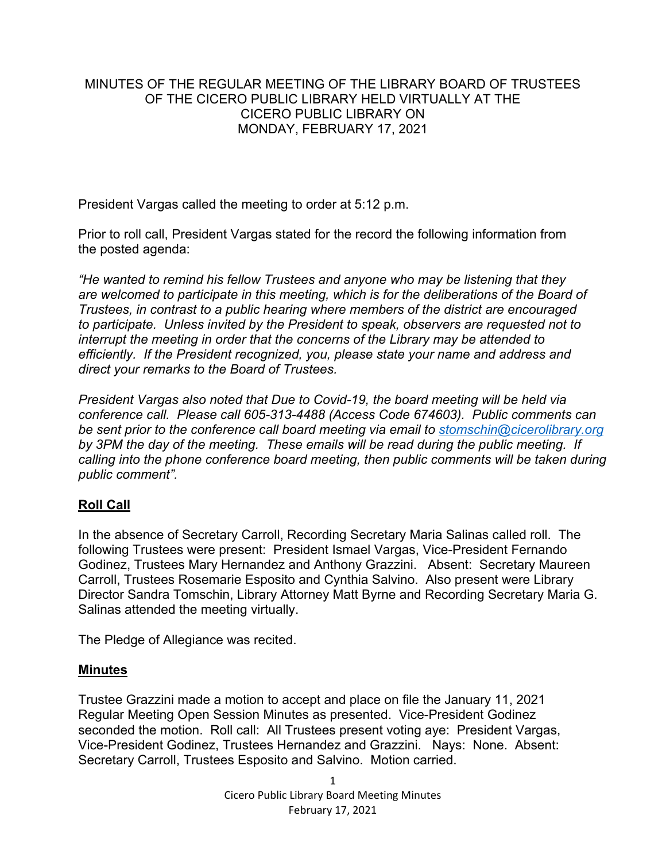### MINUTES OF THE REGULAR MEETING OF THE LIBRARY BOARD OF TRUSTEES OF THE CICERO PUBLIC LIBRARY HELD VIRTUALLY AT THE CICERO PUBLIC LIBRARY ON MONDAY, FEBRUARY 17, 2021

President Vargas called the meeting to order at 5:12 p.m.

Prior to roll call, President Vargas stated for the record the following information from the posted agenda:

*"He wanted to remind his fellow Trustees and anyone who may be listening that they*  are welcomed to participate in this meeting, which is for the deliberations of the Board of *Trustees, in contrast to a public hearing where members of the district are encouraged to participate. Unless invited by the President to speak, observers are requested not to interrupt the meeting in order that the concerns of the Library may be attended to efficiently. If the President recognized, you, please state your name and address and direct your remarks to the Board of Trustees.* 

*President Vargas also noted that Due to Covid-19, the board meeting will be held via conference call. Please call 605-313-4488 (Access Code 674603). Public comments can be sent prior to the conference call board meeting via email to [stomschin@cicerolibrary.org](mailto:stomschin@cicerolibrary.org) by 3PM the day of the meeting. These emails will be read during the public meeting. If calling into the phone conference board meeting, then public comments will be taken during public comment".*

#### **Roll Call**

In the absence of Secretary Carroll, Recording Secretary Maria Salinas called roll. The following Trustees were present: President Ismael Vargas, Vice-President Fernando Godinez, Trustees Mary Hernandez and Anthony Grazzini. Absent: Secretary Maureen Carroll, Trustees Rosemarie Esposito and Cynthia Salvino. Also present were Library Director Sandra Tomschin, Library Attorney Matt Byrne and Recording Secretary Maria G. Salinas attended the meeting virtually.

The Pledge of Allegiance was recited.

#### **Minutes**

Trustee Grazzini made a motion to accept and place on file the January 11, 2021 Regular Meeting Open Session Minutes as presented. Vice-President Godinez seconded the motion. Roll call: All Trustees present voting aye: President Vargas, Vice-President Godinez, Trustees Hernandez and Grazzini. Nays: None. Absent: Secretary Carroll, Trustees Esposito and Salvino. Motion carried.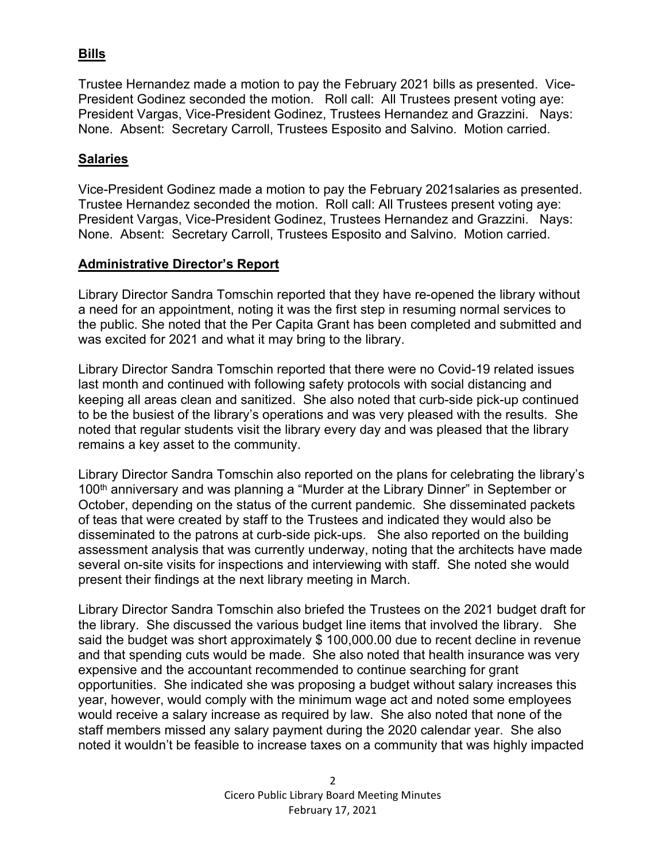# **Bills**

Trustee Hernandez made a motion to pay the February 2021 bills as presented. Vice-President Godinez seconded the motion. Roll call: All Trustees present voting aye: President Vargas, Vice-President Godinez, Trustees Hernandez and Grazzini. Nays: None. Absent: Secretary Carroll, Trustees Esposito and Salvino. Motion carried.

#### **Salaries**

Vice-President Godinez made a motion to pay the February 2021salaries as presented. Trustee Hernandez seconded the motion. Roll call: All Trustees present voting aye: President Vargas, Vice-President Godinez, Trustees Hernandez and Grazzini. Nays: None. Absent: Secretary Carroll, Trustees Esposito and Salvino. Motion carried.

#### **Administrative Director's Report**

Library Director Sandra Tomschin reported that they have re-opened the library without a need for an appointment, noting it was the first step in resuming normal services to the public. She noted that the Per Capita Grant has been completed and submitted and was excited for 2021 and what it may bring to the library.

Library Director Sandra Tomschin reported that there were no Covid-19 related issues last month and continued with following safety protocols with social distancing and keeping all areas clean and sanitized. She also noted that curb-side pick-up continued to be the busiest of the library's operations and was very pleased with the results. She noted that regular students visit the library every day and was pleased that the library remains a key asset to the community.

Library Director Sandra Tomschin also reported on the plans for celebrating the library's 100<sup>th</sup> anniversary and was planning a "Murder at the Library Dinner" in September or October, depending on the status of the current pandemic. She disseminated packets of teas that were created by staff to the Trustees and indicated they would also be disseminated to the patrons at curb-side pick-ups. She also reported on the building assessment analysis that was currently underway, noting that the architects have made several on-site visits for inspections and interviewing with staff. She noted she would present their findings at the next library meeting in March.

Library Director Sandra Tomschin also briefed the Trustees on the 2021 budget draft for the library. She discussed the various budget line items that involved the library. She said the budget was short approximately \$ 100,000.00 due to recent decline in revenue and that spending cuts would be made. She also noted that health insurance was very expensive and the accountant recommended to continue searching for grant opportunities. She indicated she was proposing a budget without salary increases this year, however, would comply with the minimum wage act and noted some employees would receive a salary increase as required by law. She also noted that none of the staff members missed any salary payment during the 2020 calendar year. She also noted it wouldn't be feasible to increase taxes on a community that was highly impacted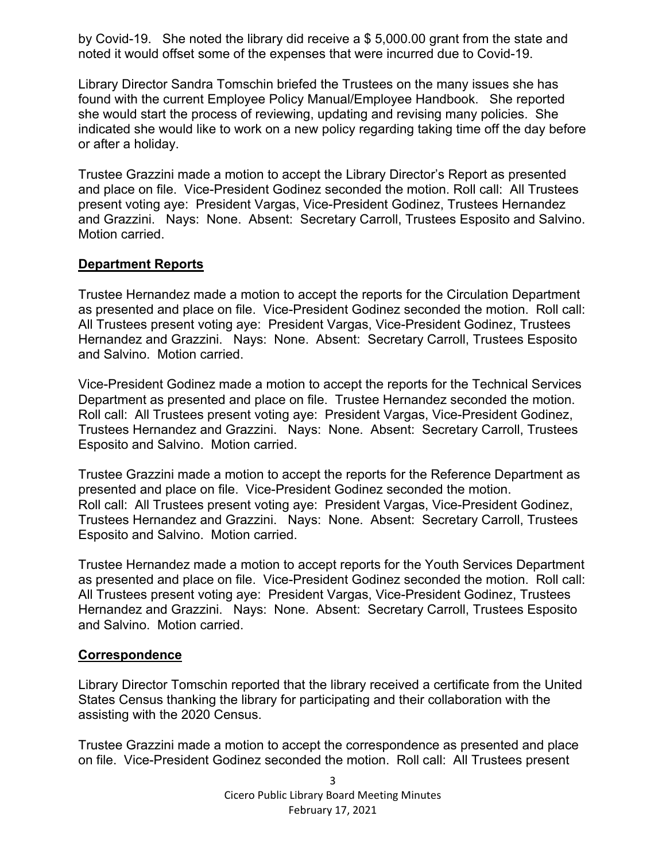by Covid-19. She noted the library did receive a \$ 5,000.00 grant from the state and noted it would offset some of the expenses that were incurred due to Covid-19.

Library Director Sandra Tomschin briefed the Trustees on the many issues she has found with the current Employee Policy Manual/Employee Handbook. She reported she would start the process of reviewing, updating and revising many policies. She indicated she would like to work on a new policy regarding taking time off the day before or after a holiday.

Trustee Grazzini made a motion to accept the Library Director's Report as presented and place on file. Vice-President Godinez seconded the motion. Roll call: All Trustees present voting aye: President Vargas, Vice-President Godinez, Trustees Hernandez and Grazzini. Nays: None. Absent: Secretary Carroll, Trustees Esposito and Salvino. Motion carried.

### **Department Reports**

Trustee Hernandez made a motion to accept the reports for the Circulation Department as presented and place on file. Vice-President Godinez seconded the motion. Roll call: All Trustees present voting aye: President Vargas, Vice-President Godinez, Trustees Hernandez and Grazzini. Nays: None. Absent: Secretary Carroll, Trustees Esposito and Salvino. Motion carried.

Vice-President Godinez made a motion to accept the reports for the Technical Services Department as presented and place on file. Trustee Hernandez seconded the motion. Roll call: All Trustees present voting aye: President Vargas, Vice-President Godinez, Trustees Hernandez and Grazzini. Nays: None. Absent: Secretary Carroll, Trustees Esposito and Salvino. Motion carried.

Trustee Grazzini made a motion to accept the reports for the Reference Department as presented and place on file. Vice-President Godinez seconded the motion. Roll call: All Trustees present voting aye: President Vargas, Vice-President Godinez, Trustees Hernandez and Grazzini. Nays: None. Absent: Secretary Carroll, Trustees Esposito and Salvino. Motion carried.

Trustee Hernandez made a motion to accept reports for the Youth Services Department as presented and place on file. Vice-President Godinez seconded the motion. Roll call: All Trustees present voting aye: President Vargas, Vice-President Godinez, Trustees Hernandez and Grazzini. Nays: None. Absent: Secretary Carroll, Trustees Esposito and Salvino. Motion carried.

#### **Correspondence**

Library Director Tomschin reported that the library received a certificate from the United States Census thanking the library for participating and their collaboration with the assisting with the 2020 Census.

Trustee Grazzini made a motion to accept the correspondence as presented and place on file. Vice-President Godinez seconded the motion. Roll call: All Trustees present